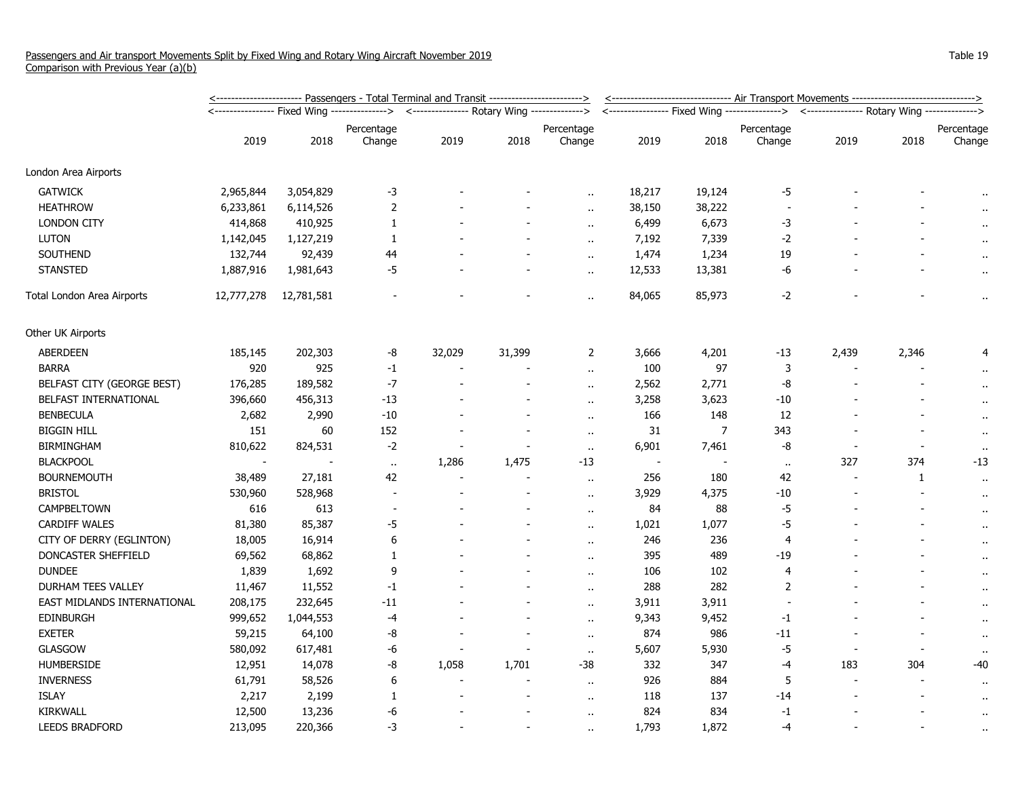|                              | <u>&lt;----------------------- Passengers - Total Terminal and Transit ------------------------&gt;</u> |            |                                                                                          |        |        |                          |                | <u>&lt;------------------------------ Air Transport Movements -------------------------------&gt;</u> |                |                                                                                            |       |                      |  |
|------------------------------|---------------------------------------------------------------------------------------------------------|------------|------------------------------------------------------------------------------------------|--------|--------|--------------------------|----------------|-------------------------------------------------------------------------------------------------------|----------------|--------------------------------------------------------------------------------------------|-------|----------------------|--|
|                              |                                                                                                         |            | <---------------- Fixed Wing --------------> <--------------- Rotary Wing -------------> |        |        |                          |                |                                                                                                       |                | <---------------- Fixed Wing ---------------> <--------------- Rotary Wing --------------> |       |                      |  |
|                              |                                                                                                         |            | Percentage                                                                               |        |        | Percentage               |                |                                                                                                       | Percentage     |                                                                                            |       | Percentage           |  |
|                              | 2019                                                                                                    | 2018       | Change                                                                                   | 2019   | 2018   | Change                   | 2019           | 2018                                                                                                  | Change         | 2019                                                                                       | 2018  | Change               |  |
| London Area Airports         |                                                                                                         |            |                                                                                          |        |        |                          |                |                                                                                                       |                |                                                                                            |       |                      |  |
| <b>GATWICK</b>               | 2,965,844                                                                                               | 3,054,829  | $-3$                                                                                     |        |        |                          | 18,217         | 19,124                                                                                                | -5             |                                                                                            |       |                      |  |
| <b>HEATHROW</b>              | 6,233,861                                                                                               | 6,114,526  | 2                                                                                        |        |        |                          | 38,150         | 38,222                                                                                                |                |                                                                                            |       |                      |  |
| <b>LONDON CITY</b>           | 414,868                                                                                                 | 410,925    | $\mathbf{1}$                                                                             |        |        | $\ddot{\phantom{a}}$     | 6,499          | 6,673                                                                                                 | $-3$           |                                                                                            |       |                      |  |
| <b>LUTON</b>                 | 1,142,045                                                                                               | 1,127,219  | $\mathbf{1}$                                                                             |        |        | $\ddot{\phantom{a}}$     | 7,192          | 7,339                                                                                                 | $-2$           |                                                                                            |       |                      |  |
| SOUTHEND                     | 132,744                                                                                                 | 92,439     | 44                                                                                       |        |        | $\ddot{\phantom{a}}$     | 1,474          | 1,234                                                                                                 | 19             |                                                                                            |       | $\cdot$              |  |
| <b>STANSTED</b>              | 1,887,916                                                                                               | 1,981,643  | $-5$                                                                                     |        |        | $\sim$                   | 12,533         | 13,381                                                                                                | -6             |                                                                                            |       | $\cdot$              |  |
| Total London Area Airports   | 12,777,278                                                                                              | 12,781,581 |                                                                                          |        |        | ٠.                       | 84,065         | 85,973                                                                                                | $-2$           |                                                                                            |       | $\ddot{\phantom{1}}$ |  |
| Other UK Airports            |                                                                                                         |            |                                                                                          |        |        |                          |                |                                                                                                       |                |                                                                                            |       |                      |  |
| ABERDEEN                     | 185,145                                                                                                 | 202,303    | -8                                                                                       | 32,029 | 31,399 | 2                        | 3,666          | 4,201                                                                                                 | $-13$          | 2,439                                                                                      | 2,346 |                      |  |
| <b>BARRA</b>                 | 920                                                                                                     | 925        | $-1$                                                                                     |        |        | $\ddot{\phantom{a}}$     | 100            | 97                                                                                                    | 3              |                                                                                            |       |                      |  |
| BELFAST CITY (GEORGE BEST)   | 176,285                                                                                                 | 189,582    | $-7$                                                                                     |        |        | $\ddot{\phantom{a}}$     | 2,562          | 2,771                                                                                                 | -8             |                                                                                            |       |                      |  |
| <b>BELFAST INTERNATIONAL</b> | 396,660                                                                                                 | 456,313    | $-13$                                                                                    |        |        | $\overline{\phantom{a}}$ | 3,258          | 3,623                                                                                                 | -10            |                                                                                            |       | $\ddot{\phantom{1}}$ |  |
| <b>BENBECULA</b>             | 2,682                                                                                                   | 2,990      | $-10$                                                                                    |        |        | $\mathbf{r}$ .           | 166            | 148                                                                                                   | 12             |                                                                                            |       | .,                   |  |
| <b>BIGGIN HILL</b>           | 151                                                                                                     | 60         | 152                                                                                      |        |        | $\sim$                   | 31             | $\overline{7}$                                                                                        | 343            |                                                                                            |       | $\ddot{\phantom{1}}$ |  |
| <b>BIRMINGHAM</b>            | 810,622                                                                                                 | 824,531    | $-2$                                                                                     |        |        | $\ddot{\phantom{1}}$     | 6,901          | 7,461                                                                                                 | -8             |                                                                                            |       |                      |  |
| <b>BLACKPOOL</b>             |                                                                                                         |            | $\sim$                                                                                   | 1,286  | 1,475  | $-13$                    | $\blacksquare$ |                                                                                                       | $\bullet$ .    | 327                                                                                        | 374   | $-13$                |  |
| <b>BOURNEMOUTH</b>           | 38,489                                                                                                  | 27,181     | 42                                                                                       |        |        | $\ddot{\phantom{a}}$     | 256            | 180                                                                                                   | 42             | $\blacksquare$                                                                             | 1     | $\ddot{\phantom{1}}$ |  |
| <b>BRISTOL</b>               | 530,960                                                                                                 | 528,968    | $\overline{\phantom{a}}$                                                                 |        |        | $\ddot{\phantom{1}}$     | 3,929          | 4,375                                                                                                 | $-10$          |                                                                                            |       | $\cdot$              |  |
| CAMPBELTOWN                  | 616                                                                                                     | 613        |                                                                                          |        |        | $\mathbf{r}$ .           | 84             | 88                                                                                                    | $-5$           |                                                                                            |       | $\ddot{\phantom{1}}$ |  |
| <b>CARDIFF WALES</b>         | 81,380                                                                                                  | 85,387     | -5                                                                                       |        |        | ٠.                       | 1,021          | 1,077                                                                                                 | $-5$           |                                                                                            |       | $\ddot{\phantom{0}}$ |  |
| CITY OF DERRY (EGLINTON)     | 18,005                                                                                                  | 16,914     | 6                                                                                        |        |        | $\ddot{\phantom{a}}$     | 246            | 236                                                                                                   | $\overline{4}$ |                                                                                            |       | ÷                    |  |
| DONCASTER SHEFFIELD          | 69,562                                                                                                  | 68,862     | 1                                                                                        |        |        | $\overline{\phantom{a}}$ | 395            | 489                                                                                                   | -19            |                                                                                            |       | $\ddot{\phantom{1}}$ |  |
| <b>DUNDEE</b>                | 1,839                                                                                                   | 1,692      | 9                                                                                        |        |        | $\ddot{\phantom{1}}$     | 106            | 102                                                                                                   | 4              |                                                                                            |       | $\cdot$              |  |
| DURHAM TEES VALLEY           | 11,467                                                                                                  | 11,552     | $-1$                                                                                     |        |        | ٠.                       | 288            | 282                                                                                                   | $\overline{2}$ |                                                                                            |       |                      |  |
| EAST MIDLANDS INTERNATIONAL  | 208,175                                                                                                 | 232,645    | $-11$                                                                                    |        |        | ٠.                       | 3,911          | 3,911                                                                                                 |                |                                                                                            |       | $\ddot{\phantom{1}}$ |  |
| <b>EDINBURGH</b>             | 999,652                                                                                                 | 1,044,553  | -4                                                                                       |        |        | $\ddot{\phantom{a}}$     | 9,343          | 9,452                                                                                                 | $-1$           |                                                                                            |       | $\ddot{\phantom{1}}$ |  |
| <b>EXETER</b>                | 59,215                                                                                                  | 64,100     | -8                                                                                       |        |        | $\cdot$ .                | 874            | 986                                                                                                   | $-11$          |                                                                                            |       | $\ddot{\phantom{1}}$ |  |
| <b>GLASGOW</b>               | 580,092                                                                                                 | 617,481    | -6                                                                                       |        |        | $\sim$                   | 5,607          | 5,930                                                                                                 | $-5$           |                                                                                            |       |                      |  |
| HUMBERSIDE                   | 12,951                                                                                                  | 14,078     | -8                                                                                       | 1,058  | 1,701  | $-38$                    | 332            | 347                                                                                                   | -4             | 183                                                                                        | 304   | -40                  |  |
| <b>INVERNESS</b>             | 61,791                                                                                                  | 58,526     | 6                                                                                        |        |        | $\mathbf{r}$ .           | 926            | 884                                                                                                   | 5              | $\overline{\phantom{a}}$                                                                   |       | $\ddot{\phantom{1}}$ |  |
| <b>ISLAY</b>                 | 2,217                                                                                                   | 2,199      | 1                                                                                        |        |        | $\ddot{\phantom{a}}$     | 118            | 137                                                                                                   | $-14$          |                                                                                            |       | $\ddot{\phantom{1}}$ |  |
| KIRKWALL                     | 12,500                                                                                                  | 13,236     | -6                                                                                       |        |        | $\ddot{\phantom{a}}$     | 824            | 834                                                                                                   | $-1$           |                                                                                            |       | $\ddot{\phantom{0}}$ |  |
| <b>LEEDS BRADFORD</b>        | 213,095                                                                                                 | 220,366    | -3                                                                                       |        |        |                          | 1,793          | 1,872                                                                                                 | $-4$           |                                                                                            |       | $\ddot{\phantom{1}}$ |  |